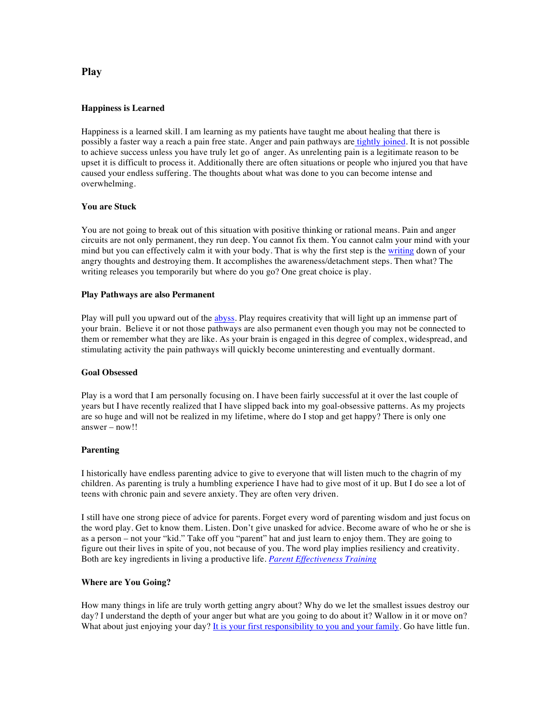# **Happiness is Learned**

Happiness is a learned skill. I am learning as my patients have taught me about healing that there is possibly a faster way a reach a pain free state. Anger and pain pathways are tightly joined. It is not possible to achieve success unless you have truly let go of anger. As unrelenting pain is a legitimate reason to be upset it is difficult to process it. Additionally there are often situations or people who injured you that have caused your endless suffering. The thoughts about what was done to you can become intense and overwhelming.

### **You are Stuck**

You are not going to break out of this situation with positive thinking or rational means. Pain and anger circuits are not only permanent, they run deep. You cannot fix them. You cannot calm your mind with your mind but you can effectively calm it with your body. That is why the first step is the writing down of your angry thoughts and destroying them. It accomplishes the awareness/detachment steps. Then what? The writing releases you temporarily but where do you go? One great choice is play.

#### **Play Pathways are also Permanent**

Play will pull you upward out of the abyss. Play requires creativity that will light up an immense part of your brain. Believe it or not those pathways are also permanent even though you may not be connected to them or remember what they are like. As your brain is engaged in this degree of complex, widespread, and stimulating activity the pain pathways will quickly become uninteresting and eventually dormant.

#### **Goal Obsessed**

Play is a word that I am personally focusing on. I have been fairly successful at it over the last couple of years but I have recently realized that I have slipped back into my goal-obsessive patterns. As my projects are so huge and will not be realized in my lifetime, where do I stop and get happy? There is only one answer – now!!

#### **Parenting**

I historically have endless parenting advice to give to everyone that will listen much to the chagrin of my children. As parenting is truly a humbling experience I have had to give most of it up. But I do see a lot of teens with chronic pain and severe anxiety. They are often very driven.

I still have one strong piece of advice for parents. Forget every word of parenting wisdom and just focus on the word play. Get to know them. Listen. Don't give unasked for advice. Become aware of who he or she is as a person – not your "kid." Take off you "parent" hat and just learn to enjoy them. They are going to figure out their lives in spite of you, not because of you. The word play implies resiliency and creativity. Both are key ingredients in living a productive life. *Parent Effectiveness Training*

### **Where are You Going?**

How many things in life are truly worth getting angry about? Why do we let the smallest issues destroy our day? I understand the depth of your anger but what are you going to do about it? Wallow in it or move on? What about just enjoying your day? It is your first responsibility to you and your family. Go have little fun.

# **Play**